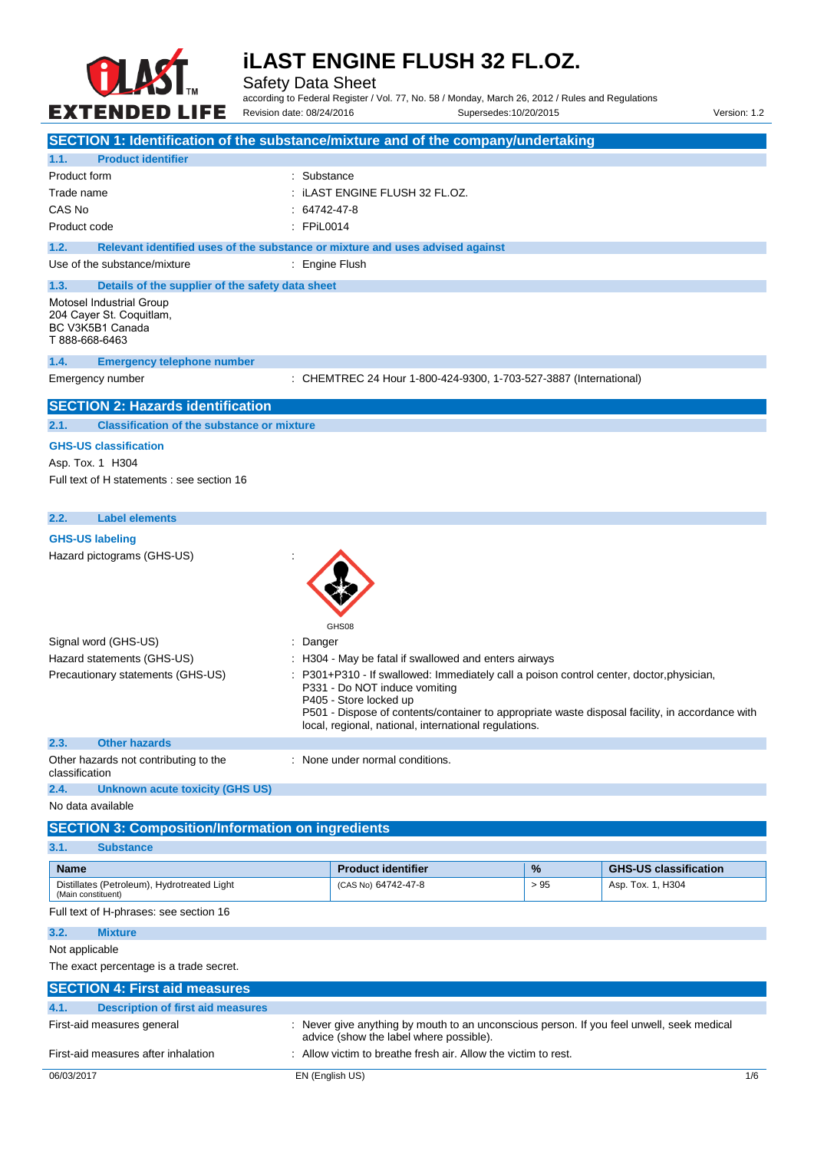

Safety Data Sheet

according to Federal Register / Vol. 77, No. 58 / Monday, March 26, 2012 / Rules and Regulations Revision date: 08/24/2016 Supersedes:10/20/2015 Version: 1.2

| SECTION 1: Identification of the substance/mixture and of the company/undertaking                                       |                                                                              |                                                                                                                |      |                                                                                                                                                                                           |
|-------------------------------------------------------------------------------------------------------------------------|------------------------------------------------------------------------------|----------------------------------------------------------------------------------------------------------------|------|-------------------------------------------------------------------------------------------------------------------------------------------------------------------------------------------|
| 1.1.<br><b>Product identifier</b>                                                                                       |                                                                              |                                                                                                                |      |                                                                                                                                                                                           |
| Product form                                                                                                            | : Substance                                                                  |                                                                                                                |      |                                                                                                                                                                                           |
| Trade name                                                                                                              | : iLAST ENGINE FLUSH 32 FL.OZ.                                               |                                                                                                                |      |                                                                                                                                                                                           |
| CAS No                                                                                                                  | $: 64742 - 47 - 8$                                                           |                                                                                                                |      |                                                                                                                                                                                           |
| Product code                                                                                                            | : FPiL0014                                                                   |                                                                                                                |      |                                                                                                                                                                                           |
| 1.2.<br>Relevant identified uses of the substance or mixture and uses advised against                                   |                                                                              |                                                                                                                |      |                                                                                                                                                                                           |
| Use of the substance/mixture                                                                                            | : Engine Flush                                                               |                                                                                                                |      |                                                                                                                                                                                           |
| 1.3.<br>Details of the supplier of the safety data sheet                                                                |                                                                              |                                                                                                                |      |                                                                                                                                                                                           |
| Motosel Industrial Group<br>204 Cayer St. Coquitlam,<br>BC V3K5B1 Canada<br>T 888-668-6463                              |                                                                              |                                                                                                                |      |                                                                                                                                                                                           |
| 1.4.<br><b>Emergency telephone number</b>                                                                               |                                                                              |                                                                                                                |      |                                                                                                                                                                                           |
| Emergency number                                                                                                        |                                                                              | : CHEMTREC 24 Hour 1-800-424-9300, 1-703-527-3887 (International)                                              |      |                                                                                                                                                                                           |
| <b>SECTION 2: Hazards identification</b>                                                                                |                                                                              |                                                                                                                |      |                                                                                                                                                                                           |
| 2.1.<br><b>Classification of the substance or mixture</b>                                                               |                                                                              |                                                                                                                |      |                                                                                                                                                                                           |
| <b>GHS-US classification</b>                                                                                            |                                                                              |                                                                                                                |      |                                                                                                                                                                                           |
| Asp. Tox. 1 H304                                                                                                        |                                                                              |                                                                                                                |      |                                                                                                                                                                                           |
| Full text of H statements : see section 16                                                                              |                                                                              |                                                                                                                |      |                                                                                                                                                                                           |
|                                                                                                                         |                                                                              |                                                                                                                |      |                                                                                                                                                                                           |
| <b>Label elements</b><br>2.2.                                                                                           |                                                                              |                                                                                                                |      |                                                                                                                                                                                           |
| <b>GHS-US labeling</b>                                                                                                  |                                                                              |                                                                                                                |      |                                                                                                                                                                                           |
| Hazard pictograms (GHS-US)                                                                                              |                                                                              |                                                                                                                |      |                                                                                                                                                                                           |
| Signal word (GHS-US)<br>Hazard statements (GHS-US)<br>Precautionary statements (GHS-US)<br>2.3.<br><b>Other hazards</b> | GHS08<br>: Danger<br>P331 - Do NOT induce vomiting<br>P405 - Store locked up | : H304 - May be fatal if swallowed and enters airways<br>local, regional, national, international regulations. |      | P301+P310 - If swallowed: Immediately call a poison control center, doctor, physician,<br>P501 - Dispose of contents/container to appropriate waste disposal facility, in accordance with |
| Other hazards not contributing to the                                                                                   | : None under normal conditions.                                              |                                                                                                                |      |                                                                                                                                                                                           |
| classification                                                                                                          |                                                                              |                                                                                                                |      |                                                                                                                                                                                           |
| 2.4.<br>Unknown acute toxicity (GHS US)                                                                                 |                                                                              |                                                                                                                |      |                                                                                                                                                                                           |
| No data available                                                                                                       |                                                                              |                                                                                                                |      |                                                                                                                                                                                           |
| <b>SECTION 3: Composition/Information on ingredients</b>                                                                |                                                                              |                                                                                                                |      |                                                                                                                                                                                           |
| 3.1.<br><b>Substance</b>                                                                                                |                                                                              |                                                                                                                |      |                                                                                                                                                                                           |
| <b>Name</b>                                                                                                             | <b>Product identifier</b>                                                    |                                                                                                                | $\%$ | <b>GHS-US classification</b>                                                                                                                                                              |
| Distillates (Petroleum), Hydrotreated Light<br>(Main constituent)                                                       | (CAS No) 64742-47-8                                                          |                                                                                                                | > 95 | Asp. Tox. 1, H304                                                                                                                                                                         |
| Full text of H-phrases: see section 16                                                                                  |                                                                              |                                                                                                                |      |                                                                                                                                                                                           |
| 3.2.<br><b>Mixture</b>                                                                                                  |                                                                              |                                                                                                                |      |                                                                                                                                                                                           |
| Not applicable                                                                                                          |                                                                              |                                                                                                                |      |                                                                                                                                                                                           |
| The exact percentage is a trade secret.                                                                                 |                                                                              |                                                                                                                |      |                                                                                                                                                                                           |
| <b>SECTION 4: First aid measures</b>                                                                                    |                                                                              |                                                                                                                |      |                                                                                                                                                                                           |
| 4.1.<br><b>Description of first aid measures</b>                                                                        |                                                                              |                                                                                                                |      |                                                                                                                                                                                           |
| First-aid measures general                                                                                              | advice (show the label where possible).                                      |                                                                                                                |      | : Never give anything by mouth to an unconscious person. If you feel unwell, seek medical                                                                                                 |
| First-aid measures after inhalation                                                                                     |                                                                              | : Allow victim to breathe fresh air. Allow the victim to rest.                                                 |      |                                                                                                                                                                                           |
| 06/03/2017                                                                                                              | EN (English US)                                                              |                                                                                                                |      | 1/6                                                                                                                                                                                       |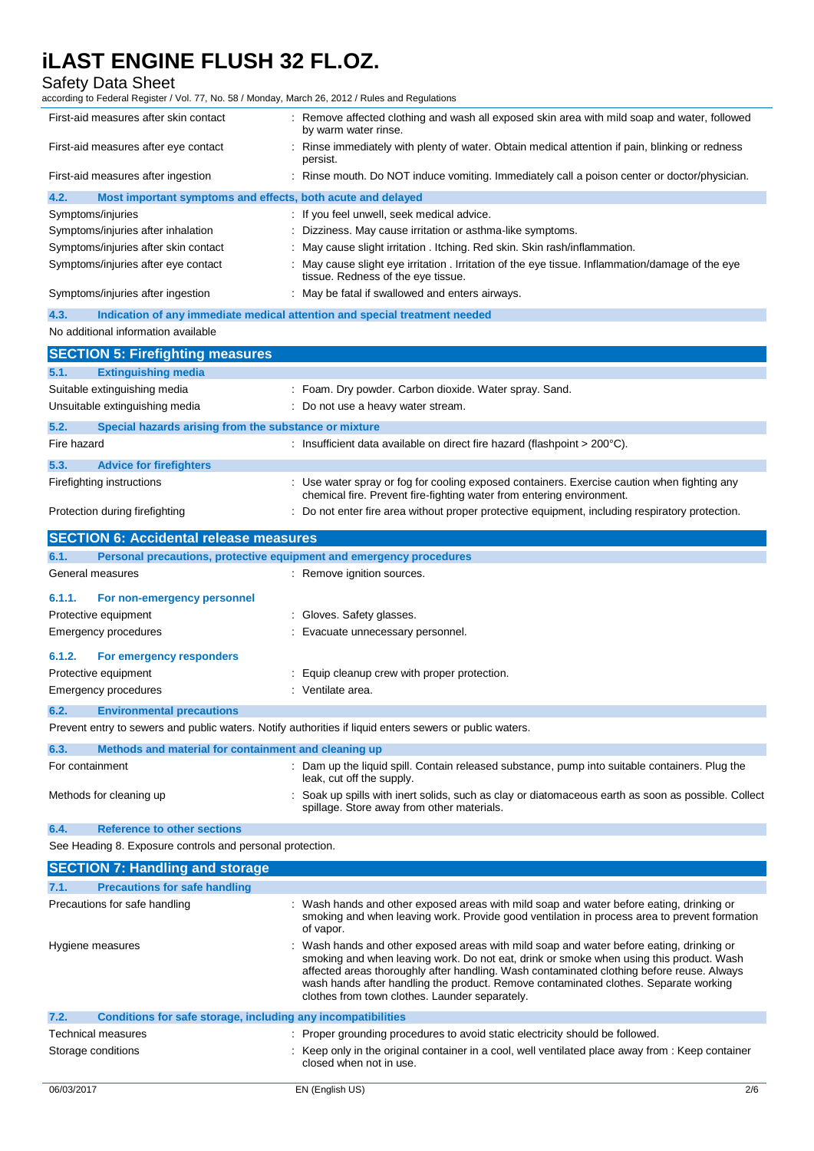## Safety Data Sheet

according to Federal Register / Vol. 77, No. 58 / Monday, March 26, 2012 / Rules and Regulations

| First-aid measures after skin contact                                                                   | : Remove affected clothing and wash all exposed skin area with mild soap and water, followed<br>by warm water rinse.                                                 |
|---------------------------------------------------------------------------------------------------------|----------------------------------------------------------------------------------------------------------------------------------------------------------------------|
| First-aid measures after eye contact                                                                    | Rinse immediately with plenty of water. Obtain medical attention if pain, blinking or redness<br>persist.                                                            |
| First-aid measures after ingestion                                                                      | Rinse mouth. Do NOT induce vomiting. Immediately call a poison center or doctor/physician.                                                                           |
| 4.2.<br>Most important symptoms and effects, both acute and delayed                                     |                                                                                                                                                                      |
| Symptoms/injuries                                                                                       | If you feel unwell, seek medical advice.                                                                                                                             |
| Symptoms/injuries after inhalation                                                                      | Dizziness. May cause irritation or asthma-like symptoms.                                                                                                             |
| Symptoms/injuries after skin contact                                                                    | May cause slight irritation . Itching. Red skin. Skin rash/inflammation.                                                                                             |
| Symptoms/injuries after eye contact                                                                     | May cause slight eye irritation . Irritation of the eye tissue. Inflammation/damage of the eye<br>tissue. Redness of the eye tissue.                                 |
| Symptoms/injuries after ingestion                                                                       | May be fatal if swallowed and enters airways.                                                                                                                        |
| 4.3.                                                                                                    | Indication of any immediate medical attention and special treatment needed                                                                                           |
| No additional information available                                                                     |                                                                                                                                                                      |
| <b>SECTION 5: Firefighting measures</b>                                                                 |                                                                                                                                                                      |
| <b>Extinguishing media</b><br>5.1.                                                                      |                                                                                                                                                                      |
| Suitable extinguishing media                                                                            | : Foam. Dry powder. Carbon dioxide. Water spray. Sand.                                                                                                               |
| Unsuitable extinguishing media                                                                          | : Do not use a heavy water stream.                                                                                                                                   |
| 5.2.<br>Special hazards arising from the substance or mixture                                           |                                                                                                                                                                      |
| Fire hazard                                                                                             | : Insufficient data available on direct fire hazard (flashpoint $>200^{\circ}$ C).                                                                                   |
|                                                                                                         |                                                                                                                                                                      |
| 5.3.<br><b>Advice for firefighters</b>                                                                  |                                                                                                                                                                      |
| Firefighting instructions                                                                               | : Use water spray or fog for cooling exposed containers. Exercise caution when fighting any<br>chemical fire. Prevent fire-fighting water from entering environment. |
| Protection during firefighting                                                                          | : Do not enter fire area without proper protective equipment, including respiratory protection.                                                                      |
| <b>SECTION 6: Accidental release measures</b>                                                           |                                                                                                                                                                      |
| Personal precautions, protective equipment and emergency procedures<br>6.1.                             |                                                                                                                                                                      |
| General measures                                                                                        | : Remove ignition sources.                                                                                                                                           |
| 6.1.1.<br>For non-emergency personnel                                                                   |                                                                                                                                                                      |
| Protective equipment                                                                                    | Gloves. Safety glasses.                                                                                                                                              |
| <b>Emergency procedures</b>                                                                             | Evacuate unnecessary personnel.                                                                                                                                      |
|                                                                                                         |                                                                                                                                                                      |
| 6.1.2.<br>For emergency responders                                                                      |                                                                                                                                                                      |
| Protective equipment                                                                                    | Equip cleanup crew with proper protection.                                                                                                                           |
| <b>Emergency procedures</b>                                                                             | Ventilate area.                                                                                                                                                      |
| 6.2.<br><b>Environmental precautions</b>                                                                |                                                                                                                                                                      |
| Prevent entry to sewers and public waters. Notify authorities if liquid enters sewers or public waters. |                                                                                                                                                                      |
| Methods and material for containment and cleaning up<br>6.3.                                            |                                                                                                                                                                      |
| For containment                                                                                         | : Dam up the liquid spill. Contain released substance, pump into suitable containers. Plug the<br>leak, cut off the supply.                                          |
| Methods for cleaning up                                                                                 | Soak up spills with inert solids, such as clay or diatomaceous earth as soon as possible. Collect<br>spillage. Store away from other materials.                      |
| 6.4.<br><b>Reference to other sections</b>                                                              |                                                                                                                                                                      |
| See Heading 8. Exposure controls and personal protection.                                               |                                                                                                                                                                      |
|                                                                                                         |                                                                                                                                                                      |
| <b>SECTION 7: Handling and storage</b>                                                                  |                                                                                                                                                                      |

| <u>ULUTTUTTI TIMINIININ MIN OLUIMAO</u>                              |                                                                                                                                                                                                                                                                                                                                                                                                                            |
|----------------------------------------------------------------------|----------------------------------------------------------------------------------------------------------------------------------------------------------------------------------------------------------------------------------------------------------------------------------------------------------------------------------------------------------------------------------------------------------------------------|
| 7.1.<br><b>Precautions for safe handling</b>                         |                                                                                                                                                                                                                                                                                                                                                                                                                            |
| Precautions for safe handling                                        | : Wash hands and other exposed areas with mild soap and water before eating, drinking or<br>smoking and when leaving work. Provide good ventilation in process area to prevent formation<br>of vapor.                                                                                                                                                                                                                      |
| Hygiene measures                                                     | : Wash hands and other exposed areas with mild soap and water before eating, drinking or<br>smoking and when leaving work. Do not eat, drink or smoke when using this product. Wash<br>affected areas thoroughly after handling. Wash contaminated clothing before reuse. Always<br>wash hands after handling the product. Remove contaminated clothes. Separate working<br>clothes from town clothes. Launder separately. |
| 7.2.<br>Conditions for safe storage, including any incompatibilities |                                                                                                                                                                                                                                                                                                                                                                                                                            |
| <b>Technical measures</b><br>Storage conditions                      | : Proper grounding procedures to avoid static electricity should be followed.<br>: Keep only in the original container in a cool, well ventilated place away from : Keep container<br>closed when not in use.                                                                                                                                                                                                              |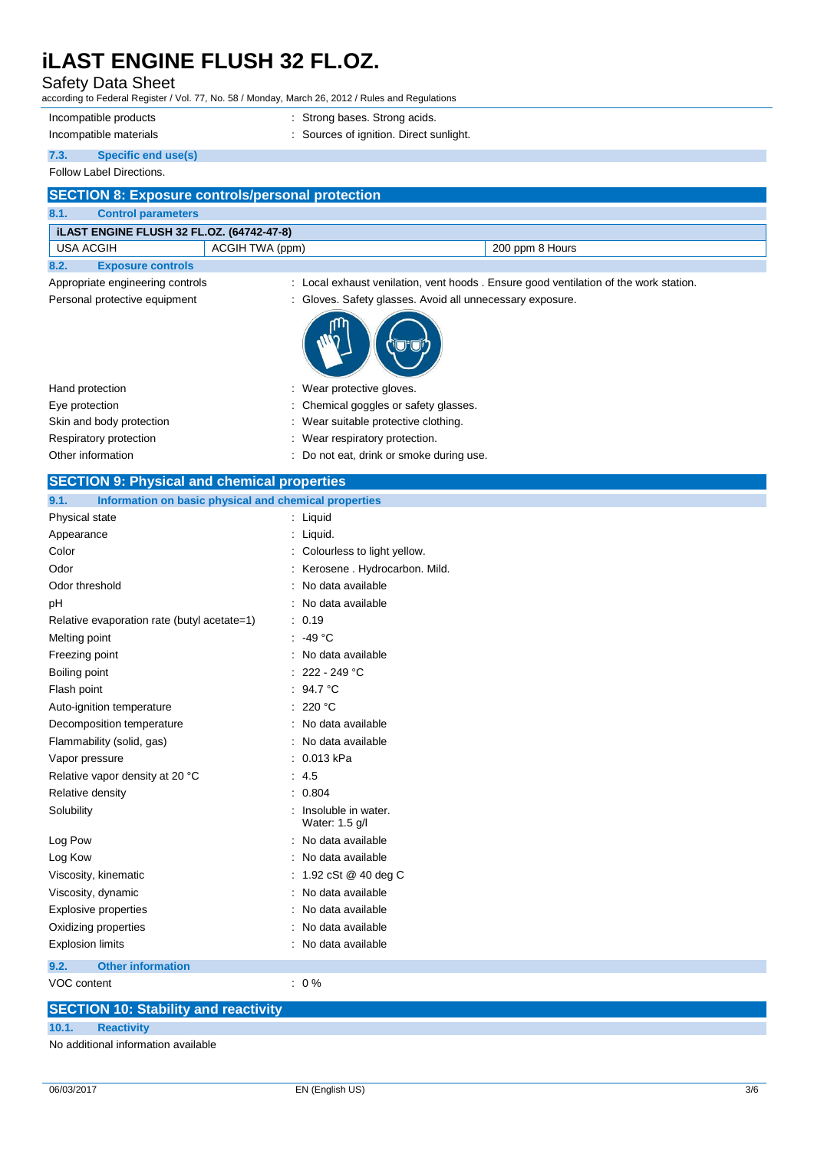# Safety Data Sheet

according to Federal Register / Vol. 77, No. 58 / Monday, March 26, 2012 / Rules and Regulations

| Incompatible products  | : Strong bases. Strong acids.           |
|------------------------|-----------------------------------------|
| Incompatible materials | : Sources of ignition. Direct sunlight. |
|                        |                                         |

# **7.3. Specific end use(s)**

## Follow Label Directions.

| <b>SECTION 8: Exposure controls/personal protection</b>                                                                                                                                                                                        |  |  |  |
|------------------------------------------------------------------------------------------------------------------------------------------------------------------------------------------------------------------------------------------------|--|--|--|
| 8.1.<br><b>Control parameters</b>                                                                                                                                                                                                              |  |  |  |
| ILAST ENGINE FLUSH 32 FL.OZ. (64742-47-8)                                                                                                                                                                                                      |  |  |  |
| USA ACGIH<br>ACGIH TWA (ppm)<br>200 ppm 8 Hours                                                                                                                                                                                                |  |  |  |
| $\mathbf{a}$<br>Forest contractor of the second state of the second state of the second state of the second state of the second state of the second state of the second state of the second state of the second state of the second state of t |  |  |  |

#### **8.2. Exposure controls** Appropriate engineering controls

| : Local exhaust venilation, vent hoods. Ensure good ventilation of the work station. |  |
|--------------------------------------------------------------------------------------|--|
|--------------------------------------------------------------------------------------|--|

Personal protective equipment : Gloves. Safety glasses. Avoid all unnecessary exposure.



| Hand protection          | : Wear protective gloves.             |
|--------------------------|---------------------------------------|
| Eye protection           | : Chemical goggles or safety glasses. |
| Skin and body protection | Wear suitable protective clothing.    |
| Respiratory protection   | : Wear respiratory protection.        |
|                          |                                       |

Other information : Do not eat, drink or smoke during use.

| <b>SECTION 9: Physical and chemical properties</b>            |                                       |  |  |
|---------------------------------------------------------------|---------------------------------------|--|--|
| Information on basic physical and chemical properties<br>9.1. |                                       |  |  |
| Physical state                                                | : Liquid                              |  |  |
| Appearance                                                    | Liquid.                               |  |  |
| Color                                                         | Colourless to light yellow.           |  |  |
| Odor                                                          | Kerosene . Hydrocarbon. Mild.         |  |  |
| Odor threshold                                                | No data available                     |  |  |
| pH                                                            | No data available                     |  |  |
| Relative evaporation rate (butyl acetate=1)                   | 0.19                                  |  |  |
| Melting point                                                 | -49 $^{\circ}$ C                      |  |  |
| Freezing point                                                | No data available                     |  |  |
| Boiling point                                                 | 222 - 249 °C                          |  |  |
| Flash point                                                   | 94.7 °C                               |  |  |
| Auto-ignition temperature                                     | 220 °C                                |  |  |
| Decomposition temperature                                     | No data available                     |  |  |
| Flammability (solid, gas)                                     | No data available                     |  |  |
| Vapor pressure                                                | 0.013 kPa                             |  |  |
| Relative vapor density at 20 °C                               | 4.5                                   |  |  |
| Relative density                                              | 0.804                                 |  |  |
| Solubility                                                    | Insoluble in water.<br>Water: 1.5 g/l |  |  |
| Log Pow                                                       | No data available                     |  |  |
| Log Kow                                                       | No data available                     |  |  |
| Viscosity, kinematic                                          | 1.92 cSt @ 40 deg C                   |  |  |
| Viscosity, dynamic                                            | No data available                     |  |  |
| <b>Explosive properties</b>                                   | No data available                     |  |  |
| Oxidizing properties                                          | No data available                     |  |  |
| <b>Explosion limits</b>                                       | No data available                     |  |  |
| <b>Other information</b><br>9.2.                              |                                       |  |  |
| VOC content                                                   | $\therefore$ 0 %                      |  |  |
| <b>SECTION 10: Stability and reactivity</b>                   |                                       |  |  |

# **10.1. Reactivity**

No additional information available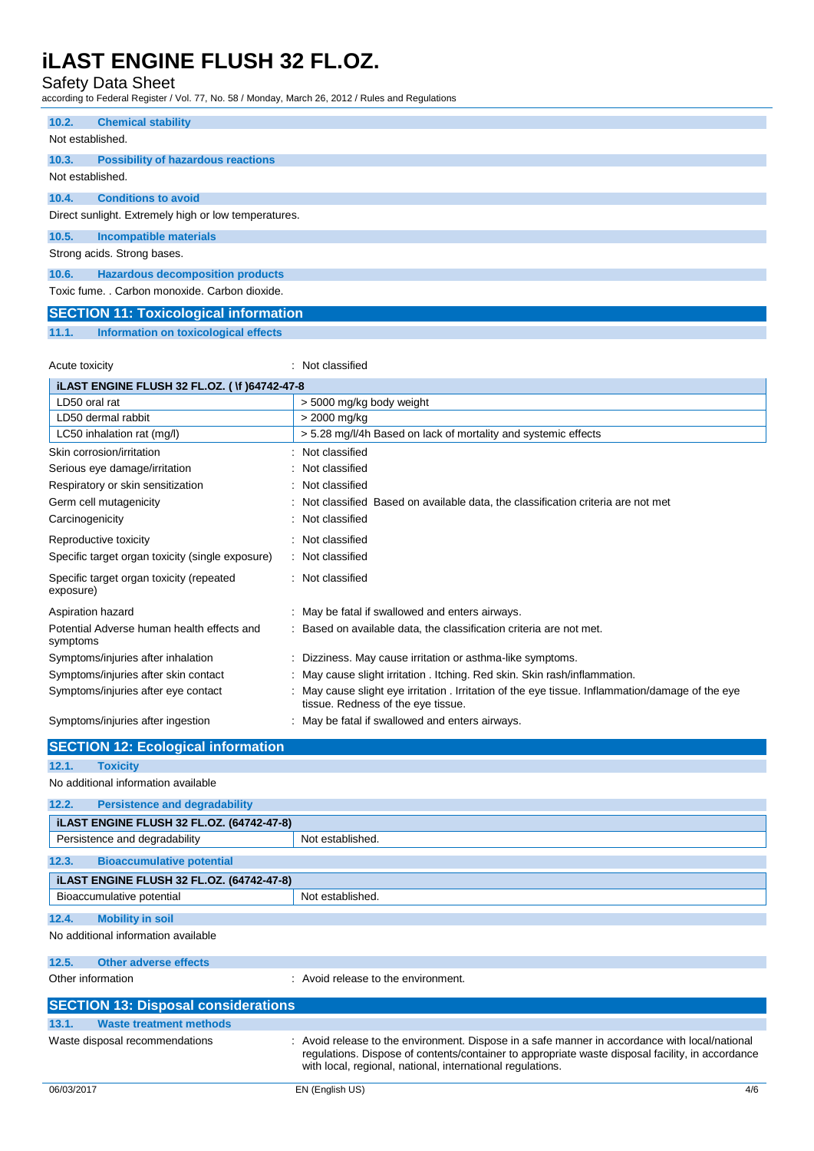## Safety Data Sheet

according to Federal Register / Vol. 77, No. 58 / Monday, March 26, 2012 / Rules and Regulations

| 10.2.            | <b>Chemical stability</b>                            |
|------------------|------------------------------------------------------|
|                  |                                                      |
| Not established. |                                                      |
|                  |                                                      |
| 10.3.            | <b>Possibility of hazardous reactions</b>            |
| Not established. |                                                      |
| 10.4.            | <b>Conditions to avoid</b>                           |
|                  | Direct sunlight. Extremely high or low temperatures. |
| 10.5.            | <b>Incompatible materials</b>                        |
|                  | Strong acids. Strong bases.                          |
| 10.6.            | <b>Hazardous decomposition products</b>              |
|                  | Toxic fume. . Carbon monoxide. Carbon dioxide.       |
|                  | <b>SECTION 11: Toxicological information</b>         |

**11.1. Information on toxicological effects**

Acute toxicity **in the case of the case of the case of the case of the case of the case of the case of the case of the case of the case of the case of the case of the case of the case of the case of the case of the case of** 

| <b>ILAST ENGINE FLUSH 32 FL.OZ. (1) 64742-47-8</b>     |                                                                                                                                      |  |
|--------------------------------------------------------|--------------------------------------------------------------------------------------------------------------------------------------|--|
| LD50 oral rat                                          | > 5000 mg/kg body weight                                                                                                             |  |
| LD50 dermal rabbit                                     | > 2000 mg/kg                                                                                                                         |  |
| LC50 inhalation rat (mg/l)                             | > 5.28 mg/l/4h Based on lack of mortality and systemic effects                                                                       |  |
| Skin corrosion/irritation                              | Not classified                                                                                                                       |  |
| Serious eye damage/irritation                          | Not classified                                                                                                                       |  |
| Respiratory or skin sensitization                      | Not classified                                                                                                                       |  |
| Germ cell mutagenicity                                 | Not classified Based on available data, the classification criteria are not met                                                      |  |
| Carcinogenicity                                        | Not classified                                                                                                                       |  |
| Reproductive toxicity                                  | : Not classified                                                                                                                     |  |
| Specific target organ toxicity (single exposure)       | : Not classified                                                                                                                     |  |
| Specific target organ toxicity (repeated<br>exposure)  | : Not classified                                                                                                                     |  |
| Aspiration hazard                                      | . May be fatal if swallowed and enters airways.                                                                                      |  |
| Potential Adverse human health effects and<br>symptoms | Based on available data, the classification criteria are not met.                                                                    |  |
| Symptoms/injuries after inhalation                     | Dizziness. May cause irritation or asthma-like symptoms.                                                                             |  |
| Symptoms/injuries after skin contact                   | May cause slight irritation . Itching. Red skin. Skin rash/inflammation.                                                             |  |
| Symptoms/injuries after eye contact                    | May cause slight eye irritation . Irritation of the eye tissue. Inflammation/damage of the eye<br>tissue. Redness of the eye tissue. |  |
| Symptoms/injuries after ingestion                      | May be fatal if swallowed and enters airways.                                                                                        |  |

|                   | <b>SECTION 12: Ecological information</b>        |                                                                                                                                                                                                                                                                  |
|-------------------|--------------------------------------------------|------------------------------------------------------------------------------------------------------------------------------------------------------------------------------------------------------------------------------------------------------------------|
| 12.1.             | <b>Toxicity</b>                                  |                                                                                                                                                                                                                                                                  |
|                   | No additional information available              |                                                                                                                                                                                                                                                                  |
| 12.2.             | <b>Persistence and degradability</b>             |                                                                                                                                                                                                                                                                  |
|                   | <b>iLAST ENGINE FLUSH 32 FL.OZ. (64742-47-8)</b> |                                                                                                                                                                                                                                                                  |
|                   | Persistence and degradability                    | Not established.                                                                                                                                                                                                                                                 |
| 12.3.             | <b>Bioaccumulative potential</b>                 |                                                                                                                                                                                                                                                                  |
|                   | <b>iLAST ENGINE FLUSH 32 FL.OZ. (64742-47-8)</b> |                                                                                                                                                                                                                                                                  |
|                   | Bioaccumulative potential                        | Not established.                                                                                                                                                                                                                                                 |
| 12.4.             | <b>Mobility in soil</b>                          |                                                                                                                                                                                                                                                                  |
|                   | No additional information available              |                                                                                                                                                                                                                                                                  |
| 12.5.             | <b>Other adverse effects</b>                     |                                                                                                                                                                                                                                                                  |
| Other information |                                                  | Avoid release to the environment.                                                                                                                                                                                                                                |
|                   | <b>SECTION 13: Disposal considerations</b>       |                                                                                                                                                                                                                                                                  |
| 13.1.             | <b>Waste treatment methods</b>                   |                                                                                                                                                                                                                                                                  |
|                   | Waste disposal recommendations                   | : Avoid release to the environment. Dispose in a safe manner in accordance with local/national<br>regulations. Dispose of contents/container to appropriate waste disposal facility, in accordance<br>with local, regional, national, international regulations. |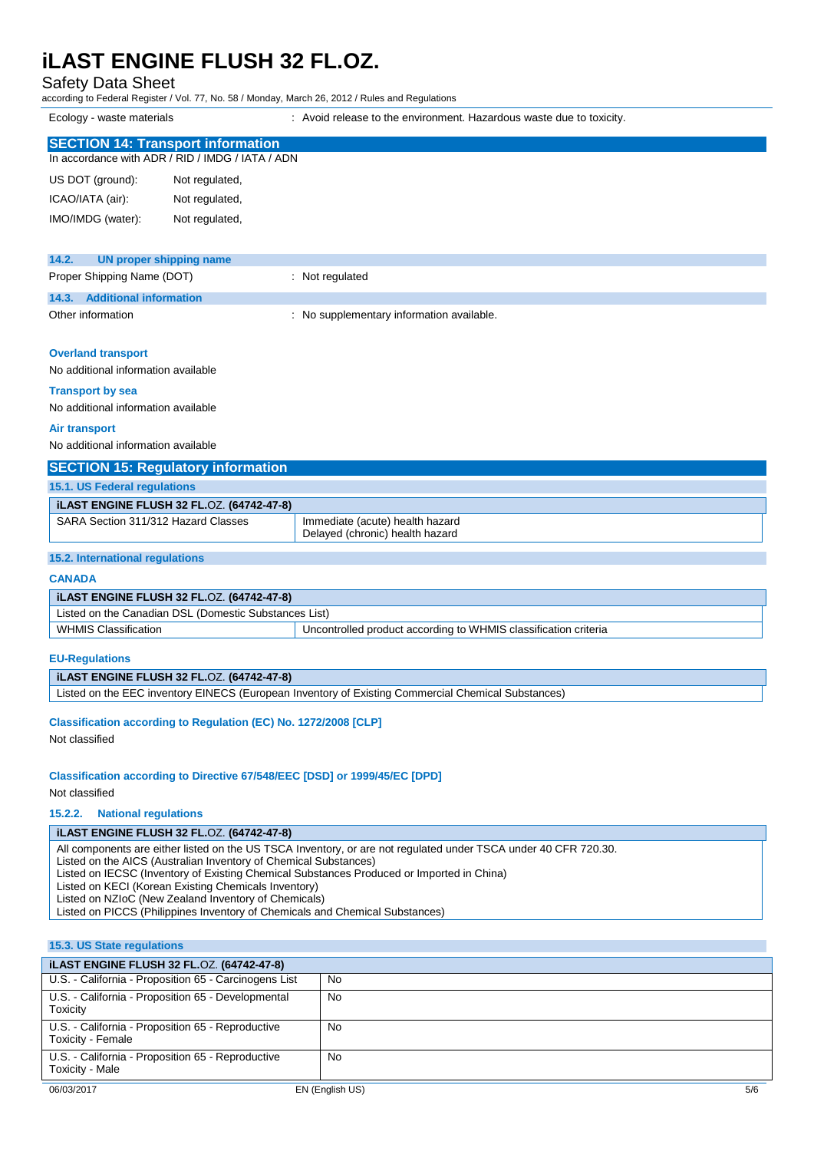## Safety Data Sheet

according to Federal Register / Vol. 77, No. 58 / Monday, March 26, 2012 / Rules and Regulations

Ecology - waste materials **interest and the environment.** Hazardous waste due to toxicity.

| <b>SECTION 14: Transport information</b>  |                                                  |                                           |
|-------------------------------------------|--------------------------------------------------|-------------------------------------------|
|                                           | In accordance with ADR / RID / IMDG / IATA / ADN |                                           |
| US DOT (ground):                          | Not regulated,                                   |                                           |
| ICAO/IATA (air):                          | Not regulated,                                   |                                           |
| IMO/IMDG (water):                         | Not regulated,                                   |                                           |
|                                           |                                                  |                                           |
| 14.2.<br><b>UN proper shipping name</b>   |                                                  |                                           |
| Proper Shipping Name (DOT)                |                                                  | : Not regulated                           |
| <b>Additional information</b><br>14.3.    |                                                  |                                           |
| Other information                         |                                                  | : No supplementary information available. |
|                                           |                                                  |                                           |
| <b>Overland transport</b>                 |                                                  |                                           |
| No additional information available       |                                                  |                                           |
| <b>Transport by sea</b>                   |                                                  |                                           |
| No additional information available       |                                                  |                                           |
| <b>Air transport</b>                      |                                                  |                                           |
| No additional information available       |                                                  |                                           |
| <b>SECTION 15: Regulatory information</b> |                                                  |                                           |
| 15.1. US Federal regulations              |                                                  |                                           |
|                                           | <b>iLAST ENGINE FLUSH 32 FL.OZ. (64742-47-8)</b> |                                           |
| SARA Section 311/312 Hazard Classes       |                                                  | Immediate (acute) health hazard           |
|                                           |                                                  | Delayed (chronic) health hazard           |

#### **15.2. International regulations**

## **CANADA**

| <b>iLAST ENGINE FLUSH 32 FL.OZ. (64742-47-8)</b>      |                                                                 |  |
|-------------------------------------------------------|-----------------------------------------------------------------|--|
| Listed on the Canadian DSL (Domestic Substances List) |                                                                 |  |
| <b>WHMIS Classification</b>                           | Uncontrolled product according to WHMIS classification criteria |  |

## **EU-Regulations**

#### **iLAST ENGINE FLUSH 32 FL.**OZ. **(64742-47-8)**

Listed on the EEC inventory EINECS (European Inventory of Existing Commercial Chemical Substances)

#### **Classification according to Regulation (EC) No. 1272/2008 [CLP]**

Not classified

## **Classification according to Directive 67/548/EEC [DSD] or 1999/45/EC [DPD]**

#### Not classified

**15.2.2. National regulations**

#### **iLAST ENGINE FLUSH 32 FL.**OZ. **(64742-47-8)**

All components are either listed on the US TSCA Inventory, or are not regulated under TSCA under 40 CFR 720.30.

Listed on the AICS (Australian Inventory of Chemical Substances)

Listed on IECSC (Inventory of Existing Chemical Substances Produced or Imported in China)

Listed on KECI (Korean Existing Chemicals Inventory)

Listed on NZIoC (New Zealand Inventory of Chemicals)

Listed on PICCS (Philippines Inventory of Chemicals and Chemical Substances)

# **15.3. US State regulations**

| <b>ILAST ENGINE FLUSH 32 FL.OZ. (64742-47-8)</b>                       |           |
|------------------------------------------------------------------------|-----------|
| U.S. - California - Proposition 65 - Carcinogens List                  | <b>No</b> |
| U.S. - California - Proposition 65 - Developmental<br>Toxicity         | No        |
| U.S. - California - Proposition 65 - Reproductive<br>Toxicity - Female | No        |
| U.S. California - Proposition 65 - Reproductive<br>Toxicity - Male     | No        |